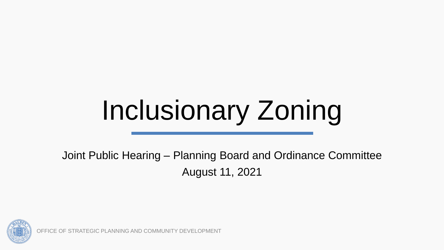# Inclusionary Zoning

Joint Public Hearing – Planning Board and Ordinance Committee August 11, 2021



OFFICE OF STRATEGIC PLANNING AND COMMUNITY DEVELOPMENT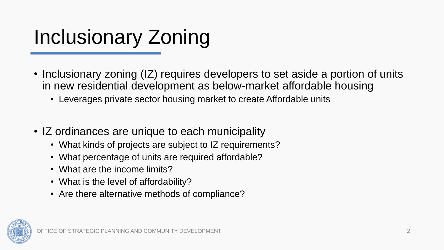### Inclusionary Zoning

- Inclusionary zoning (IZ) requires developers to set aside a portion of units in new residential development as below-market affordable housing
	- Leverages private sector housing market to create Affordable units
- IZ ordinances are unique to each municipality
	- What kinds of projects are subject to IZ requirements?
	- What percentage of units are required affordable?
	- What are the income limits?
	- What is the level of affordability?
	- Are there alternative methods of compliance?

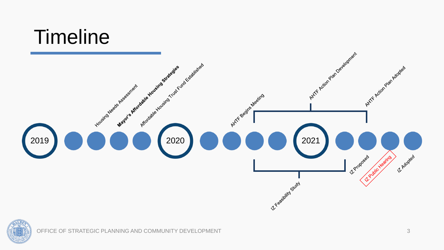#### **Timeline**



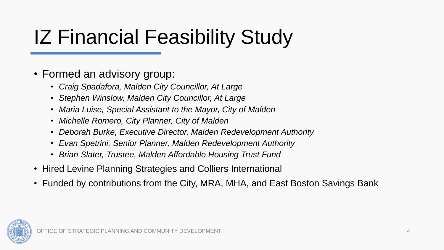### IZ Financial Feasibility Study

#### • Formed an advisory group:

- *Craig Spadafora, Malden City Councillor, At Large*
- *Stephen Winslow, Malden City Councillor, At Large*
- *Maria Luise, Special Assistant to the Mayor, City of Malden*
- *Michelle Romero, City Planner, City of Malden*
- *Deborah Burke, Executive Director, Malden Redevelopment Authority*
- *Evan Spetrini, Senior Planner, Malden Redevelopment Authority*
- *Brian Slater, Trustee, Malden Affordable Housing Trust Fund*
- Hired Levine Planning Strategies and Colliers International
- Funded by contributions from the City, MRA, MHA, and East Boston Savings Bank

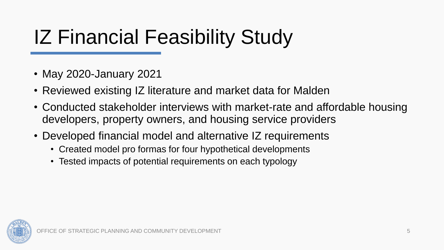### IZ Financial Feasibility Study

- May 2020-January 2021
- Reviewed existing IZ literature and market data for Malden
- Conducted stakeholder interviews with market-rate and affordable housing developers, property owners, and housing service providers
- Developed financial model and alternative IZ requirements
	- Created model pro formas for four hypothetical developments
	- Tested impacts of potential requirements on each typology

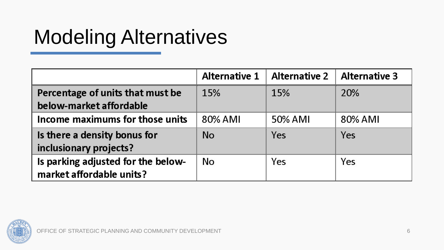### Modeling Alternatives

|                                                                | <b>Alternative 1</b> | <b>Alternative 2</b> | <b>Alternative 3</b> |
|----------------------------------------------------------------|----------------------|----------------------|----------------------|
| Percentage of units that must be<br>below-market affordable    | 15%                  | 15%                  | 20%                  |
| Income maximums for those units                                | 80% AMI              | 50% AMI              | 80% AMI              |
| Is there a density bonus for<br>inclusionary projects?         | <b>No</b>            | Yes                  | Yes                  |
| Is parking adjusted for the below-<br>market affordable units? | No                   | Yes                  | Yes                  |

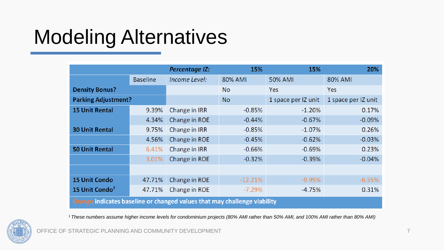#### Modeling Alternatives

|                                                                          |                 | <b>Percentage IZ:</b> | 15%       | 15%                 | 20%                 |  |  |
|--------------------------------------------------------------------------|-----------------|-----------------------|-----------|---------------------|---------------------|--|--|
|                                                                          | <b>Baseline</b> | Income Level:         | 80% AMI   | 50% AMI             | 80% AMI             |  |  |
| <b>Density Bonus?</b>                                                    |                 |                       | <b>No</b> | Yes                 | Yes                 |  |  |
| <b>Parking Adjustment?</b>                                               |                 |                       | <b>No</b> | 1 space per IZ unit | 1 space per IZ unit |  |  |
| <b>15 Unit Rental</b>                                                    | 9.39%           | Change in IRR         | $-0.85%$  | $-1.20%$            | 0.17%               |  |  |
|                                                                          | 4.34%           | Change in ROE         | $-0.44%$  | $-0.67%$            | $-0.09%$            |  |  |
| <b>30 Unit Rental</b>                                                    | 9.75%           | Change in IRR         | $-0.85%$  | $-1.07%$            | 0.26%               |  |  |
|                                                                          | 4.56%           | Change in ROE         | $-0.45%$  | $-0.62%$            | $-0.03%$            |  |  |
| <b>50 Unit Rental</b>                                                    | 6.41%           | Change in IRR         | $-0.66%$  | $-0.69%$            | 0.23%               |  |  |
|                                                                          | 3.01%           | Change in ROE         | $-0.32%$  | $-0.39%$            | $-0.04%$            |  |  |
|                                                                          |                 |                       |           |                     |                     |  |  |
| <b>15 Unit Condo</b>                                                     | 47.71%          | Change in ROE         | $-12.21%$ | $-9.99\%$           | $-6.55%$            |  |  |
| 15 Unit Condo <sup>1</sup>                                               | 47.71%          | Change in ROE         | $-7.29%$  | $-4.75%$            | 0.31%               |  |  |
| Orange indicates baseline or changed values that may challenge viability |                 |                       |           |                     |                     |  |  |

<sup>1</sup>*These numbers assume higher income levels for condominium projects (80% AMI rather than 50% AMI, and 100% AMI rather than 80% AMI)*



OFFICE OF STRATEGIC PLANNING AND COMMUNITY DEVELOPMENT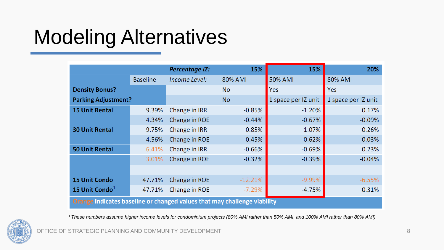#### Modeling Alternatives

|                                                                          |                 | <b>Percentage IZ:</b> | 15%       | 15%                 | 20%                 |  |  |
|--------------------------------------------------------------------------|-----------------|-----------------------|-----------|---------------------|---------------------|--|--|
|                                                                          | <b>Baseline</b> | Income Level:         | 80% AMI   | 50% AMI             | 80% AMI             |  |  |
| <b>Density Bonus?</b>                                                    |                 |                       | <b>No</b> | Yes                 | Yes                 |  |  |
| <b>Parking Adjustment?</b>                                               |                 |                       | <b>No</b> | 1 space per IZ unit | 1 space per IZ unit |  |  |
| <b>15 Unit Rental</b>                                                    | 9.39%           | Change in IRR         | $-0.85%$  | $-1.20%$            | 0.17%               |  |  |
|                                                                          | 4.34%           | Change in ROE         | $-0.44%$  | $-0.67%$            | $-0.09%$            |  |  |
| <b>30 Unit Rental</b>                                                    | 9.75%           | Change in IRR         | $-0.85%$  | $-1.07%$            | 0.26%               |  |  |
|                                                                          | 4.56%           | Change in ROE         | $-0.45%$  | $-0.62%$            | $-0.03%$            |  |  |
| <b>50 Unit Rental</b>                                                    | 6.41%           | Change in IRR         | $-0.66%$  | $-0.69%$            | 0.23%               |  |  |
|                                                                          | 3.01%           | Change in ROE         | $-0.32%$  | $-0.39%$            | $-0.04%$            |  |  |
|                                                                          |                 |                       |           |                     |                     |  |  |
| <b>15 Unit Condo</b>                                                     | 47.71%          | Change in ROE         | $-12.21%$ | $-9.99%$            | $-6.55%$            |  |  |
| 15 Unit Condo <sup>1</sup>                                               | 47.71%          | Change in ROE         | $-7.29%$  | $-4.75%$            | 0.31%               |  |  |
| Orange indicates baseline or changed values that may challenge viability |                 |                       |           |                     |                     |  |  |

<sup>1</sup>*These numbers assume higher income levels for condominium projects (80% AMI rather than 50% AMI, and 100% AMI rather than 80% AMI)*



OFFICE OF STRATEGIC PLANNING AND COMMUNITY DEVELOPMENT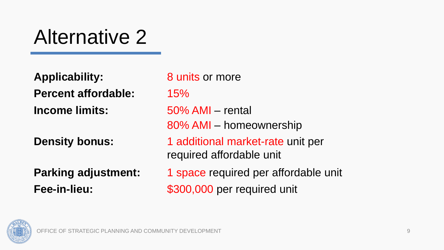#### Alternative 2

**Applicability:** 8 units or more **Percent affordable:** 15% **Income limits:** 50% AMI – rental

80% AMI – homeownership **Density bonus:** 1 additional market-rate unit per required affordable unit **Parking adjustment:** 1 space required per affordable unit **Fee-in-lieu:** \$300,000 per required unit

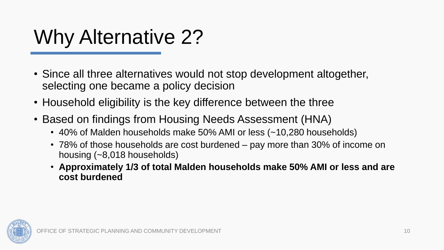#### Why Alternative 2?

- Since all three alternatives would not stop development altogether, selecting one became a policy decision
- Household eligibility is the key difference between the three
- Based on findings from Housing Needs Assessment (HNA)
	- 40% of Malden households make 50% AMI or less (~10,280 households)
	- 78% of those households are cost burdened pay more than 30% of income on housing (~8,018 households)
	- **Approximately 1/3 of total Malden households make 50% AMI or less and are cost burdened**

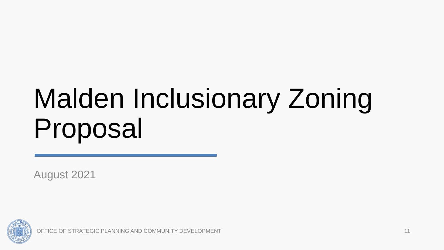## Malden Inclusionary Zoning Proposal

August 2021



OFFICE OF STRATEGIC PLANNING AND COMMUNITY DEVELOPMENT 11 11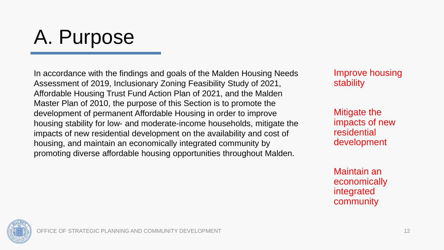#### A. Purpose

In accordance with the findings and goals of the Malden Housing Needs Assessment of 2019, Inclusionary Zoning Feasibility Study of 2021, Affordable Housing Trust Fund Action Plan of 2021, and the Malden Master Plan of 2010, the purpose of this Section is to promote the development of permanent Affordable Housing in order to improve housing stability for low- and moderate-income households, mitigate the impacts of new residential development on the availability and cost of housing, and maintain an economically integrated community by promoting diverse affordable housing opportunities throughout Malden.

Improve housing stability

Mitigate the impacts of new residential development

Maintain an economically integrated community

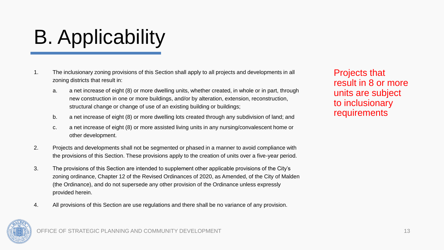## B. Applicability

- 1. The inclusionary zoning provisions of this Section shall apply to all projects and developments in all zoning districts that result in:
	- a. a net increase of eight (8) or more dwelling units, whether created, in whole or in part, through new construction in one or more buildings, and/or by alteration, extension, reconstruction, structural change or change of use of an existing building or buildings;
	- b. a net increase of eight (8) or more dwelling lots created through any subdivision of land; and
	- c. a net increase of eight (8) or more assisted living units in any nursing/convalescent home or other development.
- 2. Projects and developments shall not be segmented or phased in a manner to avoid compliance with the provisions of this Section. These provisions apply to the creation of units over a five-year period.
- 3. The provisions of this Section are intended to supplement other applicable provisions of the City's zoning ordinance, Chapter 12 of the Revised Ordinances of 2020, as Amended, of the City of Malden (the Ordinance), and do not supersede any other provision of the Ordinance unless expressly provided herein.
- 4. All provisions of this Section are use regulations and there shall be no variance of any provision.

Projects that result in 8 or more units are subject to inclusionary requirements



OFFICE OF STRATEGIC PLANNING AND COMMUNITY DEVELOPMENT And the community of the community of the community of the community of the community of the community of the community of the community of the community of the commun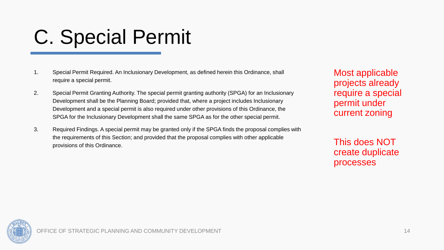#### C. Special Permit

- 1. Special Permit Required. An Inclusionary Development, as defined herein this Ordinance, shall require a special permit.
- 2. Special Permit Granting Authority. The special permit granting authority (SPGA) for an Inclusionary Development shall be the Planning Board; provided that, where a project includes Inclusionary Development and a special permit is also required under other provisions of this Ordinance, the SPGA for the Inclusionary Development shall the same SPGA as for the other special permit.
- 3. Required Findings. A special permit may be granted only if the SPGA finds the proposal complies with the requirements of this Section; and provided that the proposal complies with other applicable provisions of this Ordinance.

Most applicable projects already require a special permit under current zoning

This does NOT create duplicate processes

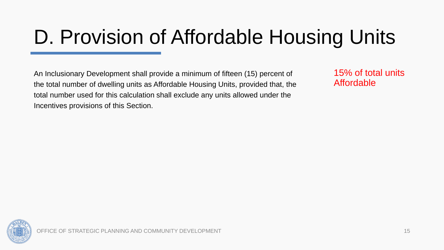#### D. Provision of Affordable Housing Units

An Inclusionary Development shall provide a minimum of fifteen (15) percent of the total number of dwelling units as Affordable Housing Units, provided that, the total number used for this calculation shall exclude any units allowed under the Incentives provisions of this Section.

15% of total units Affordable

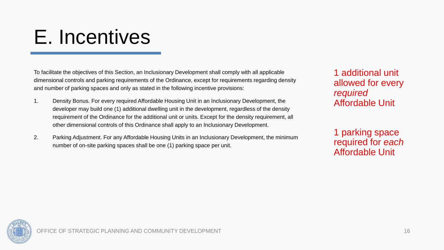#### E. Incentives

To facilitate the objectives of this Section, an Inclusionary Development shall comply with all applicable dimensional controls and parking requirements of the Ordinance, except for requirements regarding density and number of parking spaces and only as stated in the following incentive provisions:

- 1. Density Bonus. For every required Affordable Housing Unit in an Inclusionary Development, the developer may build one (1) additional dwelling unit in the development, regardless of the density requirement of the Ordinance for the additional unit or units. Except for the density requirement, all other dimensional controls of this Ordinance shall apply to an Inclusionary Development.
- 2. Parking Adjustment. For any Affordable Housing Units in an Inclusionary Development, the minimum number of on-site parking spaces shall be one (1) parking space per unit.

1 additional unit allowed for every *required* Affordable Unit

1 parking space required for *each* Affordable Unit

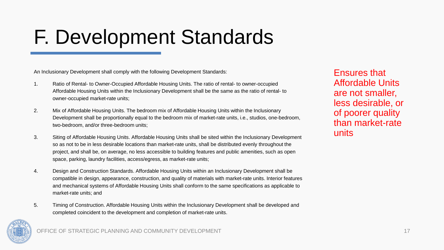#### F. Development Standards

An Inclusionary Development shall comply with the following Development Standards:

- 1. Ratio of Rental- to Owner-Occupied Affordable Housing Units. The ratio of rental- to owner-occupied Affordable Housing Units within the Inclusionary Development shall be the same as the ratio of rental- to owner-occupied market-rate units;
- 2. Mix of Affordable Housing Units. The bedroom mix of Affordable Housing Units within the Inclusionary Development shall be proportionally equal to the bedroom mix of market-rate units, i.e., studios, one-bedroom, two-bedroom, and/or three-bedroom units;
- 3. Siting of Affordable Housing Units. Affordable Housing Units shall be sited within the Inclusionary Development so as not to be in less desirable locations than market-rate units, shall be distributed evenly throughout the project, and shall be, on average, no less accessible to building features and public amenities, such as open space, parking, laundry facilities, access/egress, as market-rate units;
- 4. Design and Construction Standards. Affordable Housing Units within an Inclusionary Development shall be compatible in design, appearance, construction, and quality of materials with market-rate units. Interior features and mechanical systems of Affordable Housing Units shall conform to the same specifications as applicable to market-rate units; and
- 5. Timing of Construction. Affordable Housing Units within the Inclusionary Development shall be developed and completed coincident to the development and completion of market-rate units.

Ensures that Affordable Units are not smaller, less desirable, or of poorer quality than market-rate units

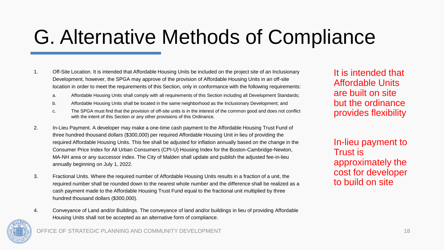#### G. Alternative Methods of Compliance

- 1. Off-Site Location. It is intended that Affordable Housing Units be included on the project site of an Inclusionary Development, however, the SPGA may approve of the provision of Affordable Housing Units in an off-site location in order to meet the requirements of this Section, only in conformance with the following requirements:
	- a. Affordable Housing Units shall comply with all requirements of this Section including all Development Standards;
	- b. Affordable Housing Units shall be located in the same neighborhood as the Inclusionary Development; and
	- c. The SPGA must find that the provision of off-site units is in the interest of the common good and does not conflict with the intent of this Section or any other provisions of this Ordinance.
- 2. In-Lieu Payment. A developer may make a one-time cash payment to the Affordable Housing Trust Fund of three hundred thousand dollars (\$300,000) per required Affordable Housing Unit in lieu of providing the required Affordable Housing Units. This fee shall be adjusted for inflation annually based on the change in the Consumer Price Index for All Urban Consumers (CPI-U) Housing Index for the Boston-Cambridge-Newton, MA-NH area or any successor index. The City of Malden shall update and publish the adjusted fee-in-lieu annually beginning on July 1, 2022.
- 3. Fractional Units. Where the required number of Affordable Housing Units results in a fraction of a unit, the required number shall be rounded down to the nearest whole number and the difference shall be realized as a cash payment made to the Affordable Housing Trust Fund equal to the fractional unit multiplied by three hundred thousand dollars (\$300,000).
- 4. Conveyance of Land and/or Buildings. The conveyance of land and/or buildings in lieu of providing Affordable Housing Units shall not be accepted as an alternative form of compliance.

It is intended that Affordable Units are built on site but the ordinance provides flexibility

In-lieu payment to Trust is approximately the cost for developer to build on site



OFFICE OF STRATEGIC PLANNING AND COMMUNITY DEVELOPMENT AND THE STRATEGIC PLANNING AND COMMUNITY DEVELOPMENT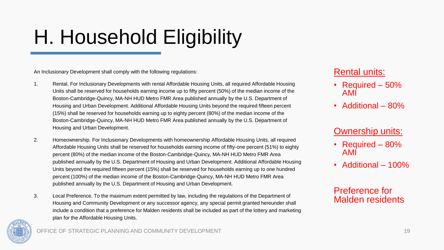#### H. Household Eligibility

An Inclusionary Development shall comply with the following regulations:

- 1. Rental. For Inclusionary Developments with rental Affordable Housing Units, all required Affordable Housing Units shall be reserved for households earning income up to fifty percent (50%) of the median income of the Boston-Cambridge-Quincy, MA-NH HUD Metro FMR Area published annually by the U.S. Department of Housing and Urban Development. Additional Affordable Housing Units beyond the required fifteen percent (15%) shall be reserved for households earning up to eighty percent (80%) of the median income of the Boston-Cambridge-Quincy, MA-NH HUD Metro FMR Area published annually by the U.S. Department of Housing and Urban Development.
- 2. Homeownership. For Inclusionary Developments with homeownership Affordable Housing Units, all required Affordable Housing Units shall be reserved for households earning income of fifty-one percent (51%) to eighty percent (80%) of the median income of the Boston-Cambridge-Quincy, MA-NH HUD Metro FMR Area published annually by the U.S. Department of Housing and Urban Development. Additional Affordable Housing Units beyond the required fifteen percent (15%) shall be reserved for households earning up to one hundred percent (100%) of the median income of the Boston-Cambridge-Quincy, MA-NH HUD Metro FMR Area published annually by the U.S. Department of Housing and Urban Development.
- 3. Local Preference. To the maximum extent permitted by law, including the regulations of the Department of Housing and Community Development or any successor agency, any special permit granted hereunder shall include a condition that a preference for Malden residents shall be included as part of the lottery and marketing plan for the Affordable Housing Units.

#### Rental units:

- Required 50% AMI
- Additional 80%

#### **Ownership units:**

- Required 80% AMI
- Additional 100%

#### Preference for Malden residents



OFFICE OF STRATEGIC PLANNING AND COMMUNITY DEVELOPMENT 19 19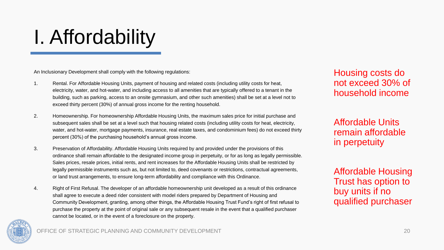### I. Affordability

An Inclusionary Development shall comply with the following regulations:

- 1. Rental. For Affordable Housing Units, payment of housing and related costs (including utility costs for heat, electricity, water, and hot-water, and including access to all amenities that are typically offered to a tenant in the building, such as parking, access to an onsite gymnasium, and other such amenities) shall be set at a level not to exceed thirty percent (30%) of annual gross income for the renting household.
- 2. Homeownership. For homeownership Affordable Housing Units, the maximum sales price for initial purchase and subsequent sales shall be set at a level such that housing related costs (including utility costs for heat, electricity, water, and hot-water, mortgage payments, insurance, real estate taxes, and condominium fees) do not exceed thirty percent (30%) of the purchasing household's annual gross income.
- 3. Preservation of Affordability. Affordable Housing Units required by and provided under the provisions of this ordinance shall remain affordable to the designated income group in perpetuity, or for as long as legally permissible. Sales prices, resale prices, initial rents, and rent increases for the Affordable Housing Units shall be restricted by legally permissible instruments such as, but not limited to, deed covenants or restrictions, contractual agreements, or land trust arrangements, to ensure long-term affordability and compliance with this Ordinance.
- 4. Right of First Refusal. The developer of an affordable homeownership unit developed as a result of this ordinance shall agree to execute a deed rider consistent with model riders prepared by Department of Housing and Community Development, granting, among other things, the Affordable Housing Trust Fund's right of first refusal to purchase the property at the point of original sale or any subsequent resale in the event that a qualified purchaser cannot be located, or in the event of a foreclosure on the property.

Housing costs do not exceed 30% of household income

Affordable Units remain affordable in perpetuity

Affordable Housing Trust has option to buy units if no qualified purchaser

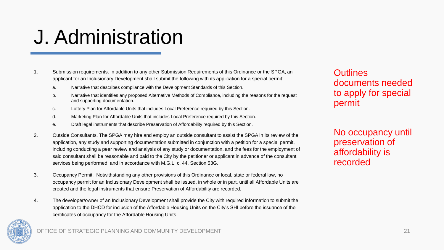#### J. Administration

#### 1. Submission requirements. In addition to any other Submission Requirements of this Ordinance or the SPGA, an applicant for an Inclusionary Development shall submit the following with its application for a special permit:

- a. Narrative that describes compliance with the Development Standards of this Section.
- b. Narrative that identifies any proposed Alternative Methods of Compliance, including the reasons for the request and supporting documentation.
- c. Lottery Plan for Affordable Units that includes Local Preference required by this Section.
- d. Marketing Plan for Affordable Units that includes Local Preference required by this Section.
- e. Draft legal instruments that describe Preservation of Affordability required by this Section.
- 2. Outside Consultants. The SPGA may hire and employ an outside consultant to assist the SPGA in its review of the application, any study and supporting documentation submitted in conjunction with a petition for a special permit, including conducting a peer review and analysis of any study or documentation, and the fees for the employment of said consultant shall be reasonable and paid to the City by the petitioner or applicant in advance of the consultant services being performed, and in accordance with M.G.L. c. 44, Section 53G.
- 3. Occupancy Permit. Notwithstanding any other provisions of this Ordinance or local, state or federal law, no occupancy permit for an Inclusionary Development shall be issued, in whole or in part, until all Affordable Units are created and the legal instruments that ensure Preservation of Affordability are recorded.
- 4. The developer/owner of an Inclusionary Development shall provide the City with required information to submit the application to the DHCD for inclusion of the Affordable Housing Units on the City's SHI before the issuance of the certificates of occupancy for the Affordable Housing Units.

#### **Outlines** documents needed to apply for special permit

No occupancy until preservation of affordability is recorded

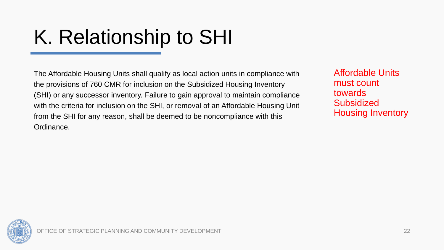### K. Relationship to SHI

The Affordable Housing Units shall qualify as local action units in compliance with the provisions of 760 CMR for inclusion on the Subsidized Housing Inventory (SHI) or any successor inventory. Failure to gain approval to maintain compliance with the criteria for inclusion on the SHI, or removal of an Affordable Housing Unit from the SHI for any reason, shall be deemed to be noncompliance with this Ordinance.

Affordable Units must count towards **Subsidized** Housing Inventory

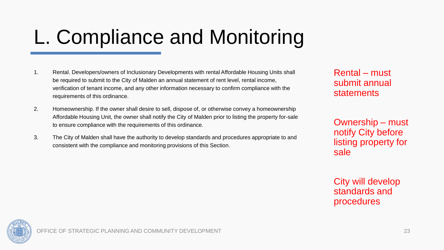#### L. Compliance and Monitoring

- 1. Rental. Developers/owners of Inclusionary Developments with rental Affordable Housing Units shall be required to submit to the City of Malden an annual statement of rent level, rental income, verification of tenant income, and any other information necessary to confirm compliance with the requirements of this ordinance.
- 2. Homeownership. If the owner shall desire to sell, dispose of, or otherwise convey a homeownership Affordable Housing Unit, the owner shall notify the City of Malden prior to listing the property for-sale to ensure compliance with the requirements of this ordinance.
- 3. The City of Malden shall have the authority to develop standards and procedures appropriate to and consistent with the compliance and monitoring provisions of this Section.

Rental – must submit annual statements

Ownership – must notify City before listing property for sale

City will develop standards and procedures

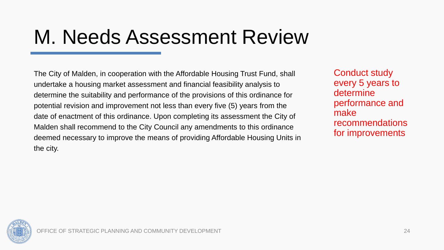#### M. Needs Assessment Review

The City of Malden, in cooperation with the Affordable Housing Trust Fund, shall undertake a housing market assessment and financial feasibility analysis to determine the suitability and performance of the provisions of this ordinance for potential revision and improvement not less than every five (5) years from the date of enactment of this ordinance. Upon completing its assessment the City of Malden shall recommend to the City Council any amendments to this ordinance deemed necessary to improve the means of providing Affordable Housing Units in the city.

Conduct study every 5 years to determine performance and make recommendations for improvements

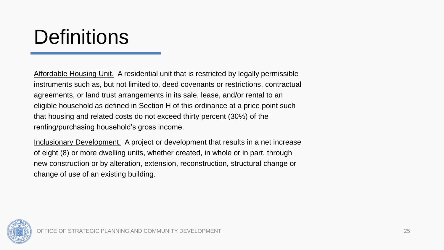#### **Definitions**

Affordable Housing Unit. A residential unit that is restricted by legally permissible instruments such as, but not limited to, deed covenants or restrictions, contractual agreements, or land trust arrangements in its sale, lease, and/or rental to an eligible household as defined in Section H of this ordinance at a price point such that housing and related costs do not exceed thirty percent (30%) of the renting/purchasing household's gross income.

Inclusionary Development. A project or development that results in a net increase of eight (8) or more dwelling units, whether created, in whole or in part, through new construction or by alteration, extension, reconstruction, structural change or change of use of an existing building.